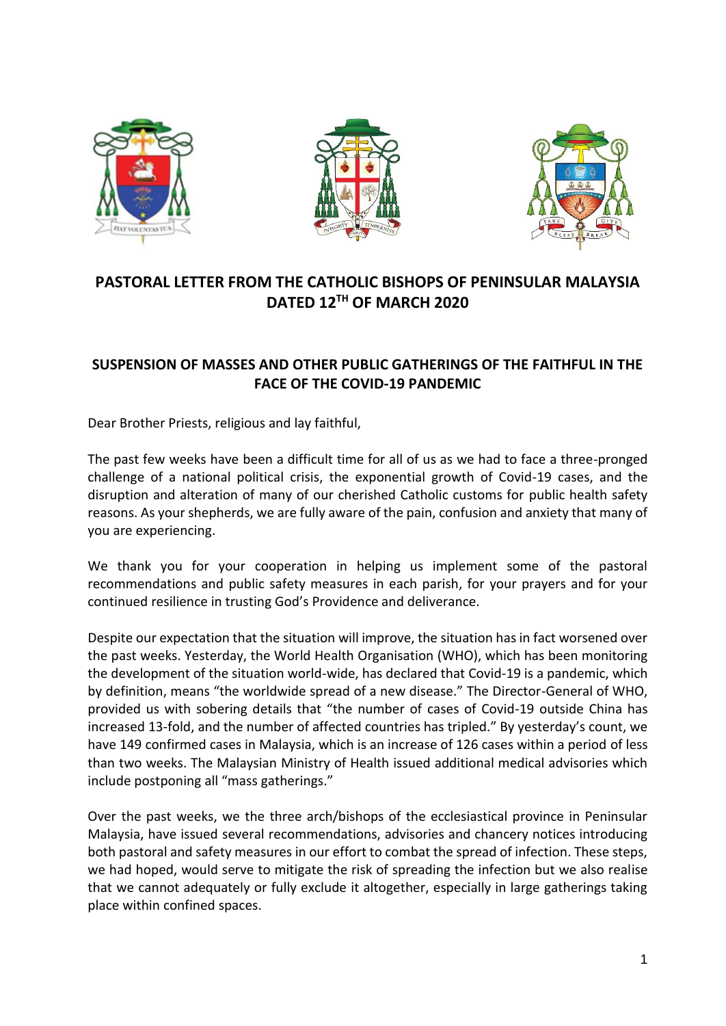





## **PASTORAL LETTER FROM THE CATHOLIC BISHOPS OF PENINSULAR MALAYSIA DATED 12TH OF MARCH 2020**

## **SUSPENSION OF MASSES AND OTHER PUBLIC GATHERINGS OF THE FAITHFUL IN THE FACE OF THE COVID-19 PANDEMIC**

Dear Brother Priests, religious and lay faithful,

The past few weeks have been a difficult time for all of us as we had to face a three-pronged challenge of a national political crisis, the exponential growth of Covid-19 cases, and the disruption and alteration of many of our cherished Catholic customs for public health safety reasons. As your shepherds, we are fully aware of the pain, confusion and anxiety that many of you are experiencing.

We thank you for your cooperation in helping us implement some of the pastoral recommendations and public safety measures in each parish, for your prayers and for your continued resilience in trusting God's Providence and deliverance.

Despite our expectation that the situation will improve, the situation has in fact worsened over the past weeks. Yesterday, the World Health Organisation (WHO), which has been monitoring the development of the situation world-wide, has declared that Covid-19 is a pandemic, which by definition, means "the worldwide spread of a new disease." The Director-General of WHO, provided us with sobering details that "the number of cases of Covid-19 outside China has increased 13-fold, and the number of affected countries has tripled." By yesterday's count, we have 149 confirmed cases in Malaysia, which is an increase of 126 cases within a period of less than two weeks. The Malaysian Ministry of Health issued additional medical advisories which include postponing all "mass gatherings."

Over the past weeks, we the three arch/bishops of the ecclesiastical province in Peninsular Malaysia, have issued several recommendations, advisories and chancery notices introducing both pastoral and safety measures in our effort to combat the spread of infection. These steps, we had hoped, would serve to mitigate the risk of spreading the infection but we also realise that we cannot adequately or fully exclude it altogether, especially in large gatherings taking place within confined spaces.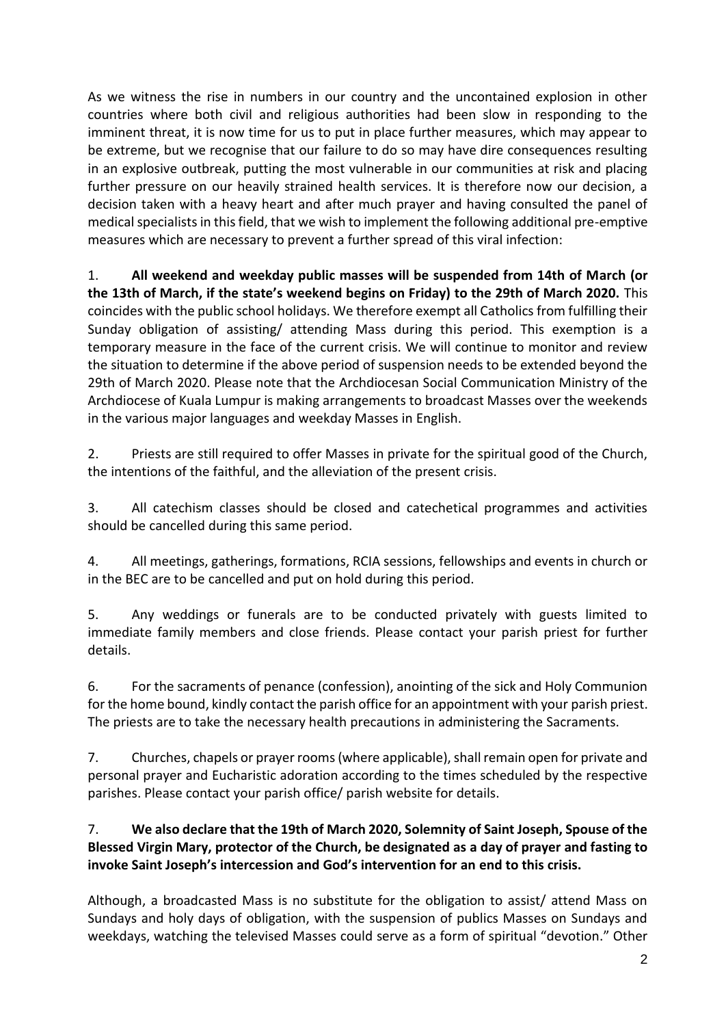As we witness the rise in numbers in our country and the uncontained explosion in other countries where both civil and religious authorities had been slow in responding to the imminent threat, it is now time for us to put in place further measures, which may appear to be extreme, but we recognise that our failure to do so may have dire consequences resulting in an explosive outbreak, putting the most vulnerable in our communities at risk and placing further pressure on our heavily strained health services. It is therefore now our decision, a decision taken with a heavy heart and after much prayer and having consulted the panel of medical specialists in this field, that we wish to implement the following additional pre-emptive measures which are necessary to prevent a further spread of this viral infection:

1. **All weekend and weekday public masses will be suspended from 14th of March (or the 13th of March, if the state's weekend begins on Friday) to the 29th of March 2020.** This coincides with the public school holidays. We therefore exempt all Catholics from fulfilling their Sunday obligation of assisting/ attending Mass during this period. This exemption is a temporary measure in the face of the current crisis. We will continue to monitor and review the situation to determine if the above period of suspension needs to be extended beyond the 29th of March 2020. Please note that the Archdiocesan Social Communication Ministry of the Archdiocese of Kuala Lumpur is making arrangements to broadcast Masses over the weekends in the various major languages and weekday Masses in English.

2. Priests are still required to offer Masses in private for the spiritual good of the Church, the intentions of the faithful, and the alleviation of the present crisis.

3. All catechism classes should be closed and catechetical programmes and activities should be cancelled during this same period.

4. All meetings, gatherings, formations, RCIA sessions, fellowships and events in church or in the BEC are to be cancelled and put on hold during this period.

5. Any weddings or funerals are to be conducted privately with guests limited to immediate family members and close friends. Please contact your parish priest for further details.

6. For the sacraments of penance (confession), anointing of the sick and Holy Communion for the home bound, kindly contact the parish office for an appointment with your parish priest. The priests are to take the necessary health precautions in administering the Sacraments.

7. Churches, chapels or prayer rooms(where applicable), shall remain open for private and personal prayer and Eucharistic adoration according to the times scheduled by the respective parishes. Please contact your parish office/ parish website for details.

## 7. **We also declare that the 19th of March 2020, Solemnity of Saint Joseph, Spouse of the Blessed Virgin Mary, protector of the Church, be designated as a day of prayer and fasting to invoke Saint Joseph's intercession and God's intervention for an end to this crisis.**

Although, a broadcasted Mass is no substitute for the obligation to assist/ attend Mass on Sundays and holy days of obligation, with the suspension of publics Masses on Sundays and weekdays, watching the televised Masses could serve as a form of spiritual "devotion." Other